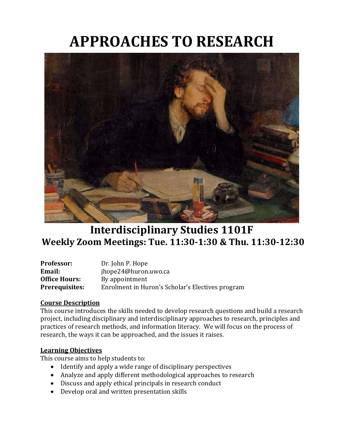# **APPROACHES TO RESEARCH**



# **Interdisciplinary Studies 1101F Weekly Zoom Meetings: Tue. 11:30-1:30 & Thu. 11:30-12:30**

| <b>Professor:</b>     | Dr. John P. Hope                                 |
|-----------------------|--------------------------------------------------|
| Email:                | jhope24@huron.uwo.ca                             |
| <b>Office Hours:</b>  | By appointment                                   |
| <b>Prerequisites:</b> | Enrolment in Huron's Scholar's Electives program |

# **Course Description**

This course introduces the skills needed to develop research questions and build a research project, including disciplinary and interdisciplinary approaches to research, principles and practices of research methods, and information literacy. We will focus on the process of research, the ways it can be approached, and the issues it raises.

# **Learning Objectives**

This course aims to help students to:

- Identify and apply a wide range of disciplinary perspectives
- Analyze and apply different methodological approaches to research
- Discuss and apply ethical principals in research conduct
- Develop oral and written presentation skills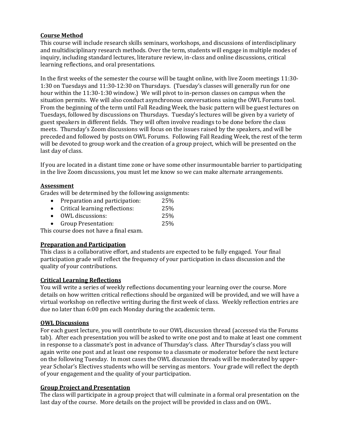# **Course Method**

This course will include research skills seminars, workshops, and discussions of interdisciplinary and multidisciplinary research methods. Over the term, students will engage in multiple modes of inquiry, including standard lectures, literature review, in-class and online discussions, critical learning reflections, and oral presentations.

In the first weeks of the semester the course will be taught online, with live Zoom meetings 11:30- 1:30 on Tuesdays and 11:30-12:30 on Thursdays. (Tuesday's classes will generally run for one hour within the 11:30-1:30 window.) We will pivot to in-person classes on campus when the situation permits. We will also conduct asynchronous conversations using the OWL Forums tool. From the beginning of the term until Fall Reading Week, the basic pattern will be guest lectures on Tuesdays, followed by discussions on Thursdays. Tuesday's lectures will be given by a variety of guest speakers in different fields. They will often involve readings to be done before the class meets. Thursday's Zoom discussions will focus on the issues raised by the speakers, and will be preceded and followed by posts on OWL Forums. Following Fall Reading Week, the rest of the term will be devoted to group work and the creation of a group project, which will be presented on the last day of class.

If you are located in a distant time zone or have some other insurmountable barrier to participating in the live Zoom discussions, you must let me know so we can make alternate arrangements.

# **Assessment**

Grades will be determined by the following assignments:

- Preparation and participation: 25%
- Critical learning reflections: 25%
- OWL discussions: 25%
- Group Presentation: 25%

This course does not have a final exam.

# **Preparation and Participation**

This class is a collaborative effort, and students are expected to be fully engaged. Your final participation grade will reflect the frequency of your participation in class discussion and the quality of your contributions.

# **Critical Learning Reflections**

You will write a series of weekly reflections documenting your learning over the course. More details on how written critical reflections should be organized will be provided, and we will have a virtual workshop on reflective writing during the first week of class. Weekly reflection entries are due no later than 6:00 pm each Monday during the academic term.

#### **OWL Discussions**

For each guest lecture, you will contribute to our OWL discussion thread (accessed via the Forums tab). After each presentation you will be asked to write one post and to make at least one comment in response to a classmate's post in advance of Thursday's class. After Thursday's class you will again write one post and at least one response to a classmate or moderator before the next lecture on the following Tuesday. In most cases the OWL discussion threads will be moderated by upperyear Scholar's Electives students who will be serving as mentors. Your grade will reflect the depth of your engagement and the quality of your participation.

#### **Group Project and Presentation**

The class will participate in a group project that will culminate in a formal oral presentation on the last day of the course. More details on the project will be provided in class and on OWL.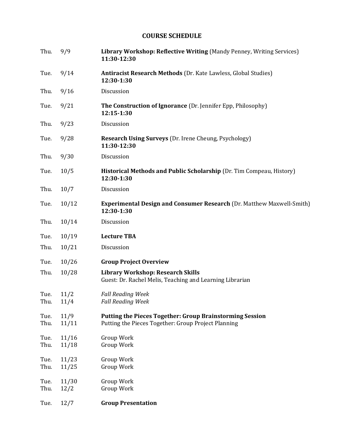# **COURSE SCHEDULE**

| Thu.         | 9/9           | Library Workshop: Reflective Writing (Mandy Penney, Writing Services)<br>11:30-12:30                                   |
|--------------|---------------|------------------------------------------------------------------------------------------------------------------------|
| Tue.         | 9/14          | <b>Antiracist Research Methods</b> (Dr. Kate Lawless, Global Studies)<br>12:30-1:30                                    |
| Thu.         | 9/16          | Discussion                                                                                                             |
| Tue.         | 9/21          | <b>The Construction of Ignorance</b> (Dr. Jennifer Epp, Philosophy)<br>12:15-1:30                                      |
| Thu.         | 9/23          | Discussion                                                                                                             |
| Tue.         | 9/28          | <b>Research Using Surveys</b> (Dr. Irene Cheung, Psychology)<br>11:30-12:30                                            |
| Thu.         | 9/30          | Discussion                                                                                                             |
| Tue.         | 10/5          | Historical Methods and Public Scholarship (Dr. Tim Compeau, History)<br>12:30-1:30                                     |
| Thu.         | 10/7          | Discussion                                                                                                             |
| Tue.         | 10/12         | <b>Experimental Design and Consumer Research (Dr. Matthew Maxwell-Smith)</b><br>12:30-1:30                             |
| Thu.         | 10/14         | Discussion                                                                                                             |
| Tue.         | 10/19         | <b>Lecture TBA</b>                                                                                                     |
| Thu.         | 10/21         | Discussion                                                                                                             |
| Tue.         | 10/26         | <b>Group Project Overview</b>                                                                                          |
| Thu.         | 10/28         | <b>Library Workshop: Research Skills</b><br>Guest: Dr. Rachel Melis, Teaching and Learning Librarian                   |
| Tue.         | 11/2          | <b>Fall Reading Week</b>                                                                                               |
| Thu.         | 11/4          | <b>Fall Reading Week</b>                                                                                               |
| Tue.<br>Thu. | 11/9<br>11/11 | <b>Putting the Pieces Together: Group Brainstorming Session</b><br>Putting the Pieces Together: Group Project Planning |
| Tue.         | 11/16         | Group Work                                                                                                             |
| Thu.         | 11/18         | Group Work                                                                                                             |
| Tue.         | 11/23         | Group Work                                                                                                             |
| Thu.         | 11/25         | Group Work                                                                                                             |
| Tue.<br>Thu. | 11/30<br>12/2 | Group Work<br>Group Work                                                                                               |
|              |               |                                                                                                                        |
| Tue.         | 12/7          | <b>Group Presentation</b>                                                                                              |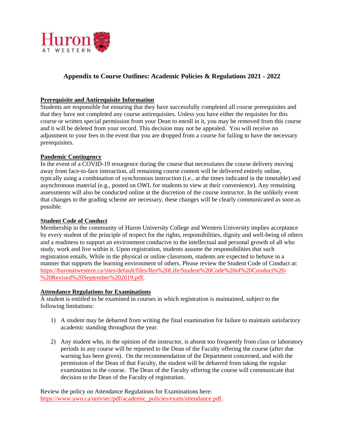

# **Appendix to Course Outlines: Academic Policies & Regulations 2021 - 2022**

#### **Prerequisite and Antirequisite Information**

Students are responsible for ensuring that they have successfully completed all course prerequisites and that they have not completed any course antirequisites. Unless you have either the requisites for this course or written special permission from your Dean to enroll in it, you may be removed from this course and it will be deleted from your record. This decision may not be appealed. You will receive no adjustment to your fees in the event that you are dropped from a course for failing to have the necessary prerequisites.

#### **Pandemic Contingency**

In the event of a COVID-19 resurgence during the course that necessitates the course delivery moving away from face-to-face interaction, all remaining course content will be delivered entirely online, typically using a combination of synchronous instruction (i.e., at the times indicated in the timetable) and asynchronous material (e.g., posted on OWL for students to view at their convenience). Any remaining assessments will also be conducted online at the discretion of the course instructor. In the unlikely event that changes to the grading scheme are necessary, these changes will be clearly communicated as soon as possible.

#### **Student Code of Conduct**

Membership in the community of Huron University College and Western University implies acceptance by every student of the principle of respect for the rights, responsibilities, dignity and well-being of others and a readiness to support an environment conducive to the intellectual and personal growth of all who study, work and live within it. Upon registration, students assume the responsibilities that such registration entails. While in the physical or online classroom, students are expected to behave in a manner that supports the learning environment of others. Please review the Student Code of Conduct at: [https://huronatwestern.ca/sites/default/files/Res%20Life/Student%20Code%20of%20Conduct%20-](https://huronatwestern.ca/sites/default/files/Res%20Life/Student%20Code%20of%20Conduct%20-%20Revised%20September%202019.pdf) [%20Revised%20September%202019.pdf.](https://huronatwestern.ca/sites/default/files/Res%20Life/Student%20Code%20of%20Conduct%20-%20Revised%20September%202019.pdf)

#### **Attendance Regulations for Examinations**

A student is entitled to be examined in courses in which registration is maintained, subject to the following limitations:

- 1) A student may be debarred from writing the final examination for failure to maintain satisfactory academic standing throughout the year.
- 2) Any student who, in the opinion of the instructor, is absent too frequently from class or laboratory periods in any course will be reported to the Dean of the Faculty offering the course (after due warning has been given). On the recommendation of the Department concerned, and with the permission of the Dean of that Faculty, the student will be debarred from taking the regular examination in the course. The Dean of the Faculty offering the course will communicate that decision to the Dean of the Faculty of registration.

Review the policy on Attendance Regulations for Examinations here: [https://www.uwo.ca/univsec/pdf/academic\\_policies/exam/attendance.pdf.](https://www.uwo.ca/univsec/pdf/academic_policies/exam/attendance.pdf)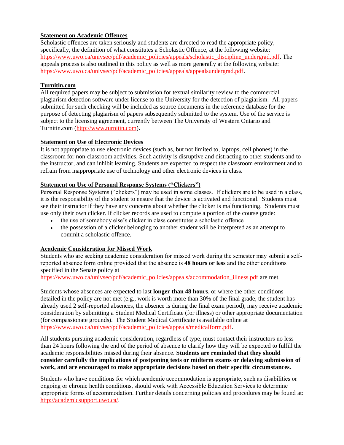# **Statement on Academic Offences**

Scholastic offences are taken seriously and students are directed to read the appropriate policy, specifically, the definition of what constitutes a Scholastic Offence, at the following website: [https://www.uwo.ca/univsec/pdf/academic\\_policies/appeals/scholastic\\_discipline\\_undergrad.pdf.](https://www.uwo.ca/univsec/pdf/academic_policies/appeals/scholastic_discipline_undergrad.pdf) The appeals process is also outlined in this policy as well as more generally at the following website: [https://www.uwo.ca/univsec/pdf/academic\\_policies/appeals/appealsundergrad.pdf.](https://www.uwo.ca/univsec/pdf/academic_policies/appeals/appealsundergrad.pdf)

#### **Turnitin.com**

All required papers may be subject to submission for textual similarity review to the commercial plagiarism detection software under license to the University for the detection of plagiarism. All papers submitted for such checking will be included as source documents in the reference database for the purpose of detecting plagiarism of papers subsequently submitted to the system. Use of the service is subject to the licensing agreement, currently between The University of Western Ontario and Turnitin.com [\(http://www.turnitin.com\)](http://www.turnitin.com/).

#### **Statement on Use of Electronic Devices**

It is not appropriate to use electronic devices (such as, but not limited to, laptops, cell phones) in the classroom for non-classroom activities. Such activity is disruptive and distracting to other students and to the instructor, and can inhibit learning. Students are expected to respect the classroom environment and to refrain from inappropriate use of technology and other electronic devices in class.

#### **Statement on Use of Personal Response Systems ("Clickers")**

Personal Response Systems ("clickers") may be used in some classes. If clickers are to be used in a class, it is the responsibility of the student to ensure that the device is activated and functional. Students must see their instructor if they have any concerns about whether the clicker is malfunctioning. Students must use only their own clicker. If clicker records are used to compute a portion of the course grade:

- the use of somebody else's clicker in class constitutes a scholastic offence
- the possession of a clicker belonging to another student will be interpreted as an attempt to commit a scholastic offence.

# **Academic Consideration for Missed Work**

Students who are seeking academic consideration for missed work during the semester may submit a selfreported absence form online provided that the absence is **48 hours or less** and the other conditions specified in the Senate policy at

[https://www.uwo.ca/univsec/pdf/academic\\_policies/appeals/accommodation\\_illness.pdf](https://www.uwo.ca/univsec/pdf/academic_policies/appeals/accommodation_illness.pdf) are met.

Students whose absences are expected to last **longer than 48 hours**, or where the other conditions detailed in the policy are not met (e.g., work is worth more than 30% of the final grade, the student has already used 2 self-reported absences, the absence is during the final exam period), may receive academic consideration by submitting a Student Medical Certificate (for illness) or other appropriate documentation (for compassionate grounds). The Student Medical Certificate is available online at [https://www.uwo.ca/univsec/pdf/academic\\_policies/appeals/medicalform.pdf.](https://www.uwo.ca/univsec/pdf/academic_policies/appeals/medicalform.pdf)

All students pursuing academic consideration, regardless of type, must contact their instructors no less than 24 hours following the end of the period of absence to clarify how they will be expected to fulfill the academic responsibilities missed during their absence. **Students are reminded that they should consider carefully the implications of postponing tests or midterm exams or delaying submission of work, and are encouraged to make appropriate decisions based on their specific circumstances.**

Students who have conditions for which academic accommodation is appropriate, such as disabilities or ongoing or chronic health conditions, should work with Accessible Education Services to determine appropriate forms of accommodation. Further details concerning policies and procedures may be found at: [http://academicsupport.uwo.ca/.](http://academicsupport.uwo.ca/)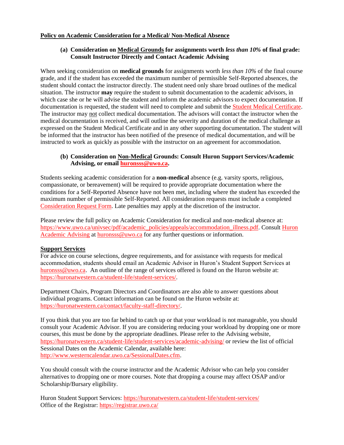#### **Policy on Academic Consideration for a Medical/ Non-Medical Absence**

#### **(a) Consideration on Medical Grounds for assignments worth** *less than 10%* **of final grade: Consult Instructor Directly and Contact Academic Advising**

When seeking consideration on **medical grounds** for assignments worth *less than 10%* of the final course grade, and if the student has exceeded the maximum number of permissible Self-Reported absences, the student should contact the instructor directly. The student need only share broad outlines of the medical situation. The instructor **may** require the student to submit documentation to the academic advisors, in which case she or he will advise the student and inform the academic advisors to expect documentation. If documentation is requested, the student will need to complete and submit the [Student Medical Certificate.](https://www.uwo.ca/univsec/pdf/academic_policies/appeals/medicalform_15JUN.pdf) The instructor may not collect medical documentation. The advisors will contact the instructor when the medical documentation is received, and will outline the severity and duration of the medical challenge as expressed on the Student Medical Certificate and in any other supporting documentation. The student will be informed that the instructor has been notified of the presence of medical documentation, and will be instructed to work as quickly as possible with the instructor on an agreement for accommodation.

#### **(b) Consideration on Non-Medical Grounds: Consult Huron Support Services/Academic Advising, or email [huronsss@uwo.ca.](mailto:huronsss@uwo.ca)**

Students seeking academic consideration for a **non-medical** absence (e.g. varsity sports, religious, compassionate, or bereavement) will be required to provide appropriate documentation where the conditions for a Self-Reported Absence have not been met, including where the student has exceeded the maximum number of permissible Self-Reported. All consideration requests must include a completed [Consideration Request Form.](https://huronatwestern.ca/sites/default/files/Forms/Academic%20Consideration%20Request%20Form%202020.pdf) Late penalties may apply at the discretion of the instructor.

Please review the full policy on Academic Consideration for medical and non-medical absence at: [https://www.uwo.ca/univsec/pdf/academic\\_policies/appeals/accommodation\\_illness.pdf.](https://www.uwo.ca/univsec/pdf/academic_policies/appeals/accommodation_illness.pdf) Consult [Huron](https://huronatwestern.ca/student-life/student-services/academic-advising/)  [Academic Advising](https://huronatwestern.ca/student-life/student-services/academic-advising/) at [huronsss@uwo.ca](mailto:huronsss@uwo.ca) for any further questions or information.

#### **Support Services**

For advice on course selections, degree requirements, and for assistance with requests for medical accommodation, students should email an Academic Advisor in Huron's Student Support Services at [huronsss@uwo.ca.](mailto:huronsss@uwo.ca) An outline of the range of services offered is found on the Huron website at: [https://huronatwestern.ca/student-life/student-services/.](https://huronatwestern.ca/student-life/student-services/)

Department Chairs, Program Directors and Coordinators are also able to answer questions about individual programs. Contact information can be found on the Huron website at: [https://huronatwestern.ca/contact/faculty-staff-directory/.](https://huronatwestern.ca/contact/faculty-staff-directory/)

If you think that you are too far behind to catch up or that your workload is not manageable, you should consult your Academic Advisor. If you are considering reducing your workload by dropping one or more courses, this must be done by the appropriate deadlines. Please refer to the Advising website, <https://huronatwestern.ca/student-life/student-services/academic-advising/> or review the list of official Sessional Dates on the Academic Calendar, available here: [http://www.westerncalendar.uwo.ca/SessionalDates.cfm.](http://www.westerncalendar.uwo.ca/SessionalDates.cfm)

You should consult with the course instructor and the Academic Advisor who can help you consider alternatives to dropping one or more courses. Note that dropping a course may affect OSAP and/or Scholarship/Bursary eligibility.

Huron Student Support Services:<https://huronatwestern.ca/student-life/student-services/> Office of the Registrar: <https://registrar.uwo.ca/>